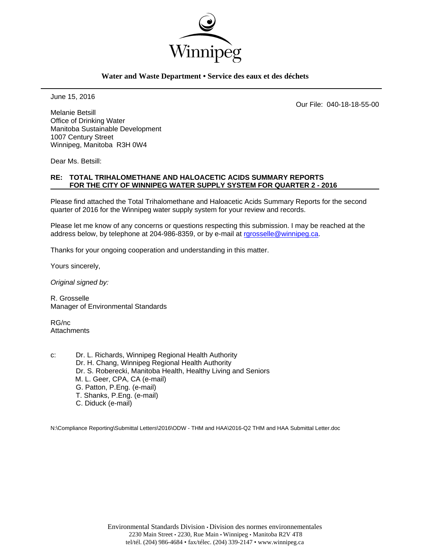

### **Water and Waste Department • Service des eaux et des déchets**

June 15, 2016

Our File: 040-18-18-55-00

Melanie Betsill Office of Drinking Water Manitoba Sustainable Development 1007 Century Street Winnipeg, Manitoba R3H 0W4

Dear Ms. Betsill:

### **RE: TOTAL TRIHALOMETHANE AND HALOACETIC ACIDS SUMMARY REPORTS FOR THE CITY OF WINNIPEG WATER SUPPLY SYSTEM FOR QUARTER 2 - 2016**

Please find attached the Total Trihalomethane and Haloacetic Acids Summary Reports for the second quarter of 2016 for the Winnipeg water supply system for your review and records.

Please let me know of any concerns or questions respecting this submission. I may be reached at the address below, by telephone at 204-986-8359, or by e-mail at rgrosselle@winnipeg.ca.

Thanks for your ongoing cooperation and understanding in this matter.

Yours sincerely,

*Original signed by:* 

R. Grosselle Manager of Environmental Standards

RG/nc **Attachments** 

c: Dr. L. Richards, Winnipeg Regional Health Authority Dr. H. Chang, Winnipeg Regional Health Authority Dr. S. Roberecki, Manitoba Health, Healthy Living and Seniors M. L. Geer, CPA, CA (e-mail) G. Patton, P.Eng. (e-mail) T. Shanks, P.Eng. (e-mail) C. Diduck (e-mail)

N:\Compliance Reporting\Submittal Letters\2016\ODW - THM and HAA\2016-Q2 THM and HAA Submittal Letter.doc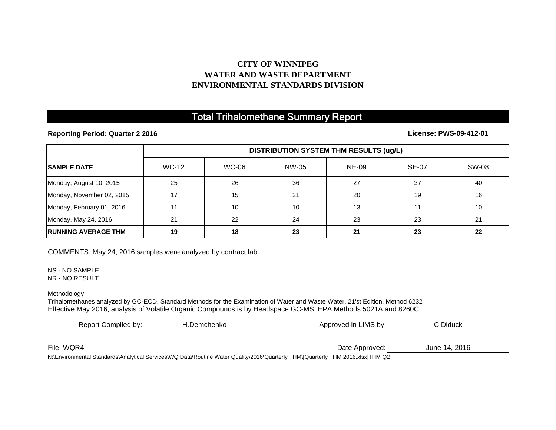## **CITY OF WINNIPEGWATER AND WASTE DEPARTMENTENVIRONMENTAL STANDARDS DIVISION**

## Total Trihalomethane Summary Report

**Reporting Period: Quarter 2 2016**

**License: PWS-09-412-01**

|                             | <b>DISTRIBUTION SYSTEM THM RESULTS (ug/L)</b> |              |       |              |              |              |
|-----------------------------|-----------------------------------------------|--------------|-------|--------------|--------------|--------------|
| <b>ISAMPLE DATE</b>         | <b>WC-12</b>                                  | <b>WC-06</b> | NW-05 | <b>NE-09</b> | <b>SE-07</b> | <b>SW-08</b> |
| Monday, August 10, 2015     | 25                                            | 26           | 36    | 27           | 37           | 40           |
| Monday, November 02, 2015   | 17                                            | 15           | 21    | 20           | 19           | 16           |
| Monday, February 01, 2016   | 11                                            | 10           | 10    | 13           | 11           | 10           |
| Monday, May 24, 2016        | 21                                            | 22           | 24    | 23           | 23           | 21           |
| <b>IRUNNING AVERAGE THM</b> | 19                                            | 18           | 23    | 21           | 23           | 22           |

COMMENTS: May 24, 2016 samples were analyzed by contract lab.

NS - NO SAMPLENR - NO RESULT

Methodology

Trihalomethanes analyzed by GC-ECD, Standard Methods for the Examination of Water and Waste Water, 21'st Edition, Method 6232 Effective May 2016, analysis of Volatile Organic Compounds is by Headspace GC-MS, EPA Methods 5021A and 8260C.

| Report Compiled by: | H.Demchenko                                                                                                                     | Approved in LIMS by: | C.Diduck      |  |
|---------------------|---------------------------------------------------------------------------------------------------------------------------------|----------------------|---------------|--|
|                     |                                                                                                                                 |                      |               |  |
| File: WQR4          |                                                                                                                                 | Date Approved:       | June 14, 2016 |  |
|                     | N:\Environmental Standards\Analytical Services\WQ Data\Routine Water Quality\2016\Quarterly THM\[Quarterly THM 2016.xlsx]THM Q2 |                      |               |  |